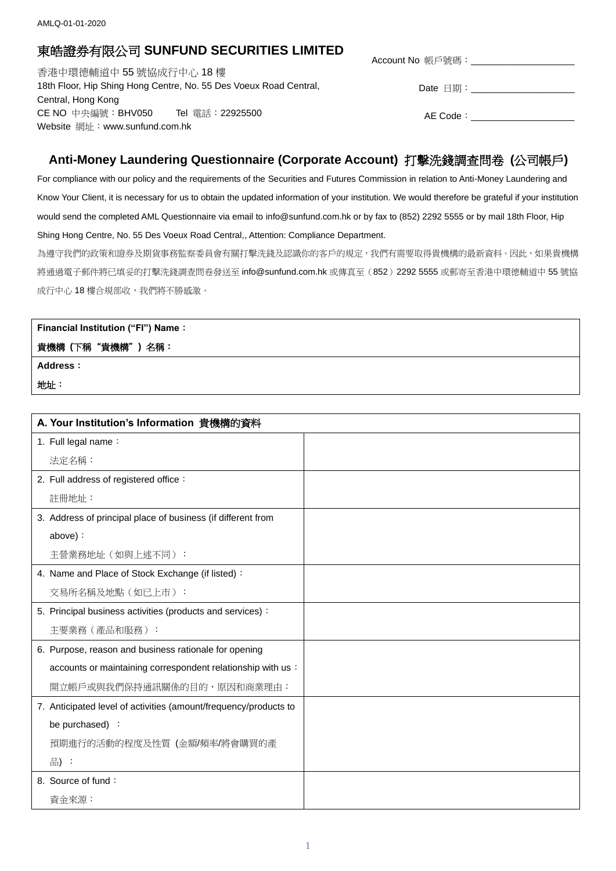## 東皓證券有限公司 **SUNFUND SECURITIES LIMITED**

香港中環德輔道中 55 號協成行中心 18 樓 18th Floor, Hip Shing Hong Centre, No. 55 Des Voeux Road Central, Central, Hong Kong CE NO 中央編號:BHV050 Tel 電話:22925500 Website 網址: www.sunfund.com.hk

| Account No 帳戶號碼: |  |  |
|------------------|--|--|
|                  |  |  |

Date 日期:\_\_\_\_\_\_\_\_\_\_\_\_\_\_\_\_\_\_\_\_

AE Code:

## **Anti-Money Laundering Questionnaire (Corporate Account)** 打擊洗錢調查問卷 **(**公司帳戶**)**

For compliance with our policy and the requirements of the Securities and Futures Commission in relation to Anti-Money Laundering and Know Your Client, it is necessary for us to obtain the updated information of your institution. We would therefore be grateful if your institution would send the completed AML Questionnaire via email to info@sunfund.com.hk or by fax to (852) 2292 5555 or by mail 18th Floor, Hip Shing Hong Centre, No. 55 Des Voeux Road Central,, Attention: Compliance Department.

為遵守我們的政策和證券及期貨事務監察委員會有關打擊洗錢及認識你的客戶的規定,我們有需要取得貴機構的最新資料。因此,如果貴機構 將通過電子郵件將已填妥的打擊洗錢調查問卷發送至 info@sunfund.com.hk 或傳真至(852)2292 5555 或郵寄至香港中環德輔道中 55 號協 成行中心 18 樓合規部收,我們將不勝感激。

## **Financial Institution ("FI") Name**:

## 貴機構 **(**下稱"貴機構"**)** 名稱:

**Address**:

地址:

| A. Your Institution's Information 貴機構的資料                         |  |
|------------------------------------------------------------------|--|
| 1. Full legal name:                                              |  |
| 法定名稱:                                                            |  |
| 2. Full address of registered office:                            |  |
| 註冊地址:                                                            |  |
| 3. Address of principal place of business (if different from     |  |
| above):                                                          |  |
| 主營業務地址 (如與上述不同):                                                 |  |
| 4. Name and Place of Stock Exchange (if listed) :                |  |
| 交易所名稱及地點(如已上市):                                                  |  |
| 5. Principal business activities (products and services):        |  |
| 主要業務 (產品和服務):                                                    |  |
| 6. Purpose, reason and business rationale for opening            |  |
| accounts or maintaining correspondent relationship with us :     |  |
| 開立帳戶或與我們保持通訊關係的目的,原因和商業理由:                                       |  |
| 7. Anticipated level of activities (amount/frequency/products to |  |
| be purchased) :                                                  |  |
| 預期進行的活動的程度及性質 (金額/頻率/將會購買的產                                      |  |
| 品):                                                              |  |
| 8. Source of fund:                                               |  |
| 資金來源:                                                            |  |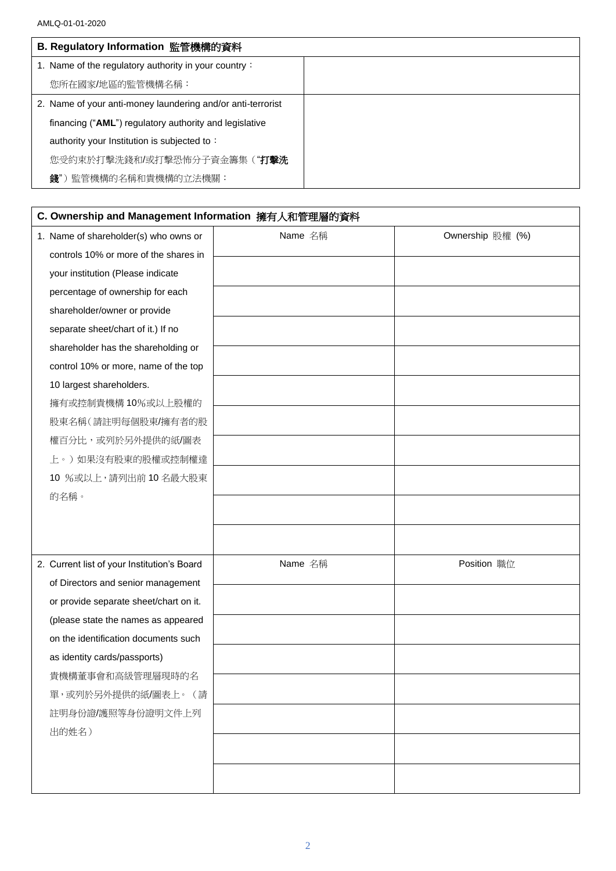| B. Regulatory Information 監管機構的資料                           |  |
|-------------------------------------------------------------|--|
| 1. Name of the regulatory authority in your country:        |  |
| 您所在國家/地區的監管機構名稱:                                            |  |
| 2. Name of your anti-money laundering and/or anti-terrorist |  |
| financing ("AML") regulatory authority and legislative      |  |
| authority your Institution is subjected to:                 |  |
| 您受約束於打擊洗錢和/或打擊恐怖分子資金籌集(" <b>打擊洗</b>                         |  |
| 錢")監管機構的名稱和貴機構的立法機關:                                        |  |

| C. Ownership and Management Information 擁有人和管理層的資料 |         |                  |  |  |
|----------------------------------------------------|---------|------------------|--|--|
| 1. Name of shareholder(s) who owns or              | Name 名稱 | Ownership 股權 (%) |  |  |
| controls 10% or more of the shares in              |         |                  |  |  |
| your institution (Please indicate                  |         |                  |  |  |
| percentage of ownership for each                   |         |                  |  |  |
| shareholder/owner or provide                       |         |                  |  |  |
| separate sheet/chart of it.) If no                 |         |                  |  |  |
| shareholder has the shareholding or                |         |                  |  |  |
| control 10% or more, name of the top               |         |                  |  |  |
| 10 largest shareholders.                           |         |                  |  |  |
| 擁有或控制貴機構 10%或以上股權的                                 |         |                  |  |  |
| 股東名稱(請註明每個股東/擁有者的股                                 |         |                  |  |  |
| 權百分比,或列於另外提供的紙/圖表                                  |         |                  |  |  |
| 上。)如果沒有股東的股權或控制權達                                  |         |                  |  |  |
| 10 %或以上,請列出前10名最大股東                                |         |                  |  |  |
| 的名稱。                                               |         |                  |  |  |
|                                                    |         |                  |  |  |
|                                                    |         |                  |  |  |
| 2. Current list of your Institution's Board        | Name 名稱 | Position 職位      |  |  |
| of Directors and senior management                 |         |                  |  |  |
| or provide separate sheet/chart on it.             |         |                  |  |  |
| (please state the names as appeared                |         |                  |  |  |
| on the identification documents such               |         |                  |  |  |
| as identity cards/passports)                       |         |                  |  |  |
| 貴機構董事會和高級管理層現時的名                                   |         |                  |  |  |
| 單,或列於另外提供的紙/圖表上。(請                                 |         |                  |  |  |
| 註明身份證/護照等身份證明文件上列                                  |         |                  |  |  |
| 出的姓名)                                              |         |                  |  |  |
|                                                    |         |                  |  |  |
|                                                    |         |                  |  |  |
|                                                    |         |                  |  |  |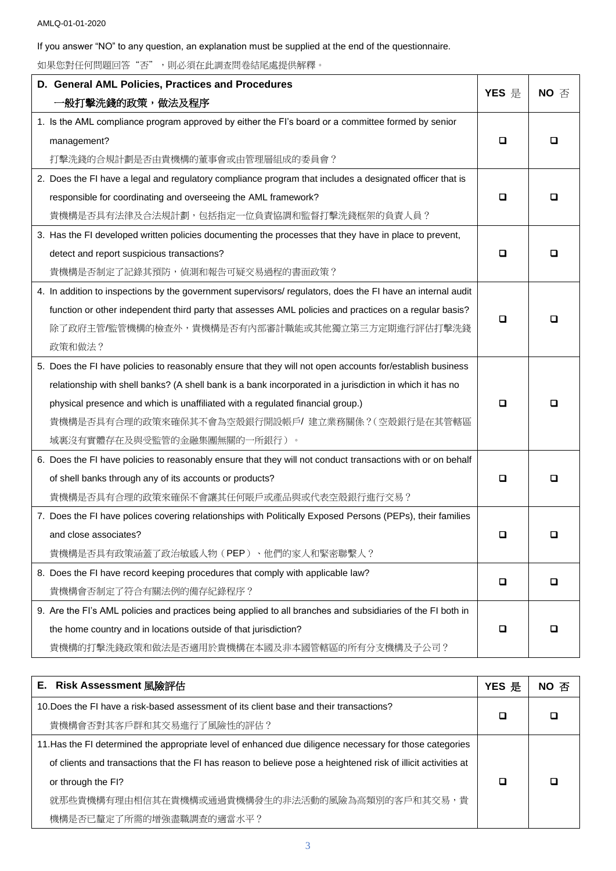If you answer "NO" to any question, an explanation must be supplied at the end of the questionnaire.

如果您對任何問題回答"否",則必須在此調查問卷結尾處提供解釋。

| D. General AML Policies, Practices and Procedures                                                           |       | $NO \n  \text{\AA}$ |
|-------------------------------------------------------------------------------------------------------------|-------|---------------------|
| ·般打擊洗錢的政策,做法及程序                                                                                             | YES 是 |                     |
| 1. Is the AML compliance program approved by either the FI's board or a committee formed by senior          |       |                     |
| management?                                                                                                 | ◻     | □                   |
| 打擊洗錢的合規計劃是否由貴機構的董事會或由管理層組成的委員會?                                                                             |       |                     |
| 2. Does the FI have a legal and regulatory compliance program that includes a designated officer that is    |       |                     |
| responsible for coordinating and overseeing the AML framework?                                              | ◻     | □                   |
| 貴機構是否具有法律及合法規計劃,包括指定一位負責協調和監督打擊洗錢框架的負責人員?                                                                   |       |                     |
| 3. Has the FI developed written policies documenting the processes that they have in place to prevent,      |       |                     |
| detect and report suspicious transactions?                                                                  | О     | ◻                   |
| 貴機構是否制定了記錄其預防,偵測和報告可疑交易過程的書面政策?                                                                             |       |                     |
| 4. In addition to inspections by the government supervisors/ regulators, does the FI have an internal audit |       |                     |
| function or other independent third party that assesses AML policies and practices on a regular basis?      |       |                     |
| 除了政府主管/監管機構的檢查外,貴機構是否有內部審計職能或其他獨立第三方定期進行評估打擊洗錢                                                              | □     |                     |
| 政策和做法?                                                                                                      |       |                     |
| 5. Does the FI have policies to reasonably ensure that they will not open accounts for/establish business   |       |                     |
| relationship with shell banks? (A shell bank is a bank incorporated in a jurisdiction in which it has no    |       |                     |
| physical presence and which is unaffiliated with a regulated financial group.)                              | □     | ப                   |
| 貴機構是否具有合理的政策來確保其不會為空殼銀行開設帳戶/建立業務關係?(空殼銀行是在其管轄區                                                              |       |                     |
| 域裏沒有實體存在及與受監管的金融集團無關的一所銀行)。                                                                                 |       |                     |
| 6. Does the FI have policies to reasonably ensure that they will not conduct transactions with or on behalf |       |                     |
| of shell banks through any of its accounts or products?                                                     | □     | ப                   |
| 貴機構是否具有合理的政策來確保不會讓其任何賬戶或產品與或代表空殼銀行進行交易?                                                                     |       |                     |
| 7. Does the FI have polices covering relationships with Politically Exposed Persons (PEPs), their families  |       |                     |
| and close associates?                                                                                       | О     | □                   |
| 貴機構是否具有政策涵蓋了政治敏感人物(PEP)、他們的家人和緊密聯繫人?                                                                        |       |                     |
| 8. Does the FI have record keeping procedures that comply with applicable law?                              | □     | □                   |
| 貴機構會否制定了符合有關法例的備存紀錄程序?                                                                                      |       |                     |
| 9. Are the FI's AML policies and practices being applied to all branches and subsidiaries of the FI both in |       |                     |
| the home country and in locations outside of that jurisdiction?                                             | o     | ◻                   |
| 貴機構的打擊洗錢政策和做法是否適用於貴機構在本國及非本國管轄區的所有分支機構及子公司?                                                                 |       |                     |

| <b>E. Risk Assessment 風險評估</b>                                                                                | YES 是 | NO 否 |
|---------------------------------------------------------------------------------------------------------------|-------|------|
| 10. Does the FI have a risk-based assessment of its client base and their transactions?                       |       |      |
| 貴機構會否對其客戶群和其交易進行了風險性的評估?                                                                                      |       |      |
| 11. Has the FI determined the appropriate level of enhanced due diligence necessary for those categories      |       |      |
| of clients and transactions that the FI has reason to believe pose a heightened risk of illicit activities at |       |      |
| or through the FI?                                                                                            |       |      |
| 就那些貴機構有理由相信其在貴機構或通過貴機構發生的非法活動的風險為高類別的客戶和其交易,貴                                                                 |       |      |
| 機構是否已釐定了所需的增強盡職調查的適當水平?                                                                                       |       |      |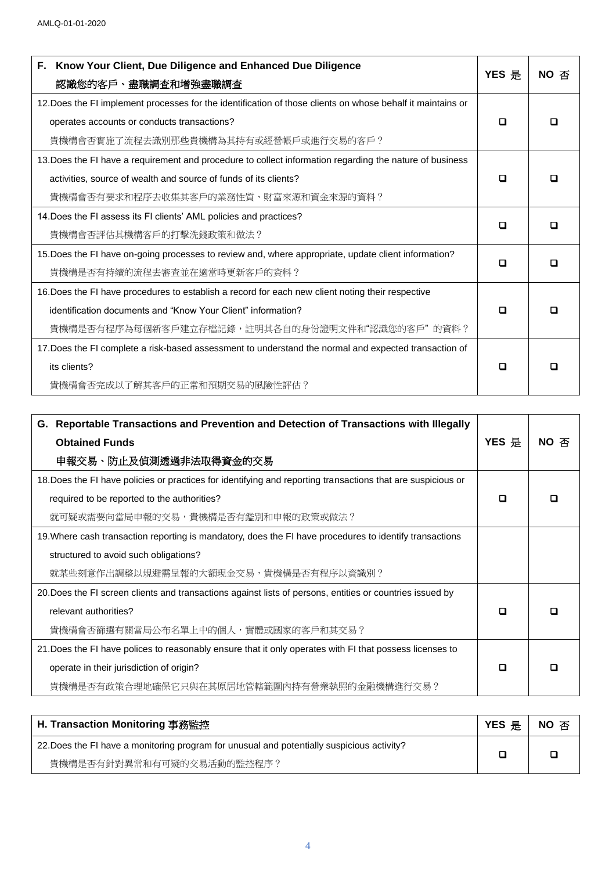| Know Your Client, Due Diligence and Enhanced Due Diligence<br>F.                                            | YES 是 | NO 否 |
|-------------------------------------------------------------------------------------------------------------|-------|------|
| 認識您的客戶、盡職調查和增強盡職調查                                                                                          |       |      |
| 12. Does the FI implement processes for the identification of those clients on whose behalf it maintains or |       |      |
| operates accounts or conducts transactions?                                                                 | □     |      |
| 貴機構會否實施了流程去識別那些貴機構為其持有或經營帳戶或進行交易的客戶?                                                                        |       |      |
| 13. Does the FI have a requirement and procedure to collect information regarding the nature of business    |       |      |
| activities, source of wealth and source of funds of its clients?                                            |       |      |
| 貴機構會否有要求和程序去收集其客戶的業務性質、財富來源和資金來源的資料?                                                                        |       |      |
| 14. Does the FI assess its FI clients' AML policies and practices?                                          |       |      |
| 貴機構會否評估其機構客戶的打擊洗錢政策和做法?                                                                                     | П     |      |
| 15. Does the FI have on-going processes to review and, where appropriate, update client information?        |       |      |
| 貴機構是否有持續的流程去審查並在適當時更新客戶的資料?                                                                                 | □     |      |
| 16. Does the FI have procedures to establish a record for each new client noting their respective           |       |      |
| identification documents and "Know Your Client" information?                                                | ш     |      |
| 貴機構是否有程序為每個新客戶建立存檔記錄,註明其各自的身份證明文件和"認識您的客戶"的資料?                                                              |       |      |
| 17. Does the FI complete a risk-based assessment to understand the normal and expected transaction of       |       |      |
| its clients?                                                                                                | П     |      |
| 貴機構會否完成以了解其客戶的正常和預期交易的風險性評估?                                                                                |       |      |

| G. Reportable Transactions and Prevention and Detection of Transactions with Illegally                       |   |      |
|--------------------------------------------------------------------------------------------------------------|---|------|
| <b>Obtained Funds</b>                                                                                        |   | NO 否 |
| 申報交易、防止及偵測透過非法取得資金的交易                                                                                        |   |      |
| 18. Does the FI have policies or practices for identifying and reporting transactions that are suspicious or |   |      |
| required to be reported to the authorities?                                                                  | П |      |
| 就可疑或需要向當局申報的交易,貴機構是否有鑑別和申報的政策或做法?                                                                            |   |      |
| 19. Where cash transaction reporting is mandatory, does the FI have procedures to identify transactions      |   |      |
| structured to avoid such obligations?                                                                        |   |      |
| 就某些刻意作出調整以規避需呈報的大額現金交易,貴機構是否有程序以資識別?                                                                         |   |      |
| 20. Does the FI screen clients and transactions against lists of persons, entities or countries issued by    |   |      |
| relevant authorities?                                                                                        |   |      |
| 貴機構會否篩選有關當局公布名單上中的個人,實體或國家的客戶和其交易?                                                                           |   |      |
| 21. Does the FI have polices to reasonably ensure that it only operates with FI that possess licenses to     |   |      |
| operate in their jurisdiction of origin?                                                                     |   |      |
| 貴機構是否有政策合理地確保它只與在其原居地管轄範圍內持有營業執照的金融機構進行交易?                                                                   |   |      |

| H. Transaction Monitoring 事務監控                                                             |  | NO 否 |
|--------------------------------------------------------------------------------------------|--|------|
| 22. Does the FI have a monitoring program for unusual and potentially suspicious activity? |  |      |
| 貴機構是否有針對異常和有可疑的交易活動的監控程序?                                                                  |  |      |